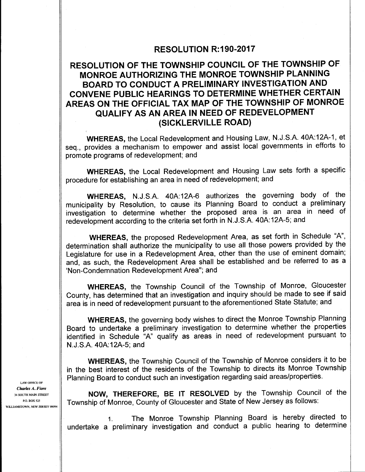### RESOLUTION R: 190-2017

## RESOLUTION OF THE TOWNSHIP COUNCIL OF THE TOWNSHIP OF MONROE AUTHORIZING THE MONROE TOWNSHIP PLANNING BOARD TO CONDUCT A PRELIMINARY INVESTIGATION AND CONVENE PUBLIC HEARINGS TO DETERMINE WHETHER CERTAIN AREAS ON THE OFFICIAL TAX MAP OF THE TOWNSHIP OF MONROE QUALIFY AS AN AREA IN NEED OF REDEVELOPMENT SICKLERVILLE ROAD)

WHEREAS, the Local Redevelopment and Housing Law, N.J.S.A. 40A:12A-1, et seq., provides <sup>a</sup> mechanism to empower and assist local governments in efforts to promote programs of redevelopment; and

WHEREAS, the Local Redevelopment and Housing Law sets forth a specific procedure for establishing an area in need of redevelopment; and

WHEREAS, N.J.S.A. 40A:12A-6 authorizes the governing body of the municipality by Resolution, to cause its Planning Board to conduct <sup>a</sup> preliminary investigation to determine whether the proposed area is an area in need of redevelopment according to the criteria set forth in N. J. S.A. 40A:12A-5; and

WHEREAS, the proposed Redevelopment Area, as set forth in Schedule "A", determination shall authorize the municipality to use all those powers provided by the Legislature for use in a Redevelopment Area, other than the use of eminent domain; and, as such, the Redevelopment Area shall be established and be referred to as a 'Non-Condemnation Redevelopment Area"; and

WHEREAS, the Township Council of the Township of Monroe, Gloucester County, has determined that an investigation and inquiry should be made to see if said area is in need of redevelopment pursuant to the aforementioned State Statute; and

WHEREAS, the governing body wishes to direct the Monroe Township Planning Board to undertake a preliminary investigation to determine whether the properties identified in Schedule "A" qualify as areas in need of redevelopment pursuant to N. J. S.A. 40A:12A-5; and

WHEREAS, the Township Council of the Township of Monroe considers it to be in the best interest of the residents of the Township to directs its Monroe Township Planning Board to conduct such an investigation regarding said areas/properties.

 $\mathcal{L}_{\text{34 SOUTH MAIN STREET}}$  **NOW, THEREFORE, BE IT RESOLVED** by the Township Council of the  $\mathcal{L}_{\text{34 SOUTH MAIN STREET}}$ PO. BOX 525 TOWNSHIP Of Monroe, County of Gloucester and State of New Jersey as follows:

> 1. The Monroe Township Planning Board is hereby directed to undertake <sup>a</sup> preliminary investigation and conduct <sup>a</sup> public hearing to determine

LAW OFFICE OF Charles A. Fiore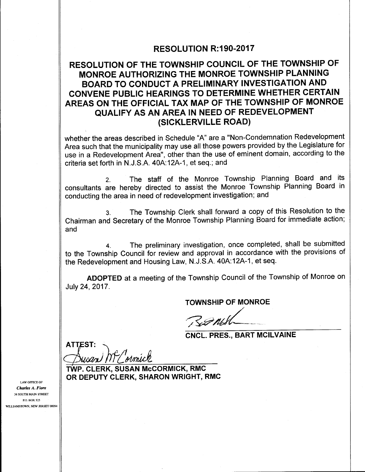### RESOLUTION R:190-2017

## RESOLUTION OF THE TOWNSHIP COUNCIL OF THE TOWNSHIP OF MONROE AUTHORIZING THE MONROE TOWNSHIP PLANNING BOARD TO CONDUCT A PRELIMINARY INVESTIGATION AND CONVENE PUBLIC HEARINGS TO DETERMINE WHETHER CERTAIN AREAS ON THE OFFICIAL TAX MAP OF THE TOWNSHIP OF MONROE QUALIFY AS AN AREA IN NEED OF REDEVELOPMENT SICKLERVILLE ROAD)

whether the areas described in Schedule "A" are a " Non- Condemnation Redevelopment Area such that the municipality may use all those powers provided by the Legislature for use in a Redevelopment Area", other than the use of eminent domain, according to the criteria set forth in N.J.S.A. 40A:12A-1, et seq.; and

2. The staff of the Monroe Township Planning Board and its consultants are hereby directed to assist the Monroe Township Planning Board in conducting the area in need of redevelopment investigation; and

The Township Clerk shall forward a copy of this Resolution to the Chairman and Secretary of the Monroe Township Planning Board for immediate action; and

4. The preliminary investigation, once completed, shall be submitted to the Township Council for review and approval in accordance with the provisions of the Redevelopment and Housing Law, N.J.S.A. 40A:12A-1, et seq.

ADOPTED at a meeting of the Township Council of the Township of Monroe on July 24, 2017.

TOWNSHIP OF MONROE

P OF MO

CNCL. PRES., BART MCILVAINE

**ATTEST:** ENCL<br>
ATTEST:<br>
TWP. CLERK, SUSAN McCORMICK, RMC

OR DEPUTY CLERK, SHARON WRIGHT, RMC

LAW OFFICE OF Charles A. Fiore 34 SOUTH MAIN STREET P.O\_ BOX 525 WILLIAMSTOWN, NEW JERSEY 08094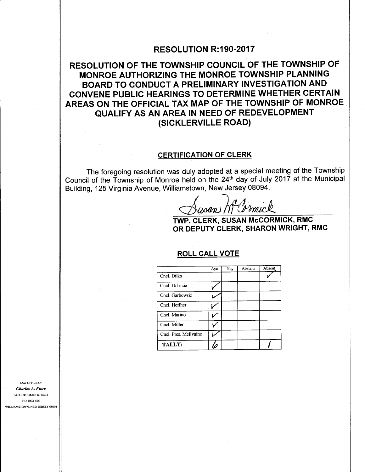### RESOLUTION R: 190-2017

# RESOLUTION OF THE TOWNSHIP COUNCIL OF THE TOWNSHIP OF MONROE AUTHORIZING THE MONROE TOWNSHIP PLANNING BOARD TO CONDUCT A PRELIMINARY INVESTIGATION AND CONVENE PUBLIC HEARINGS TO DETERMINE WHETHER CERTAIN AREAS ON THE OFFICIAL TAX MAP OF THE TOWNSHIP OF MONROE QUALIFY AS AN AREA IN NEED OF REDEVELOPMENT SICKLERVILLE ROAD)

#### CERTIFICATION OF CLERK

The foregoing resolution was duly adopted at a special meeting of the Township Council of the Township of Monroe held on the 24th day of July <sup>2017</sup> at the Municipal Building, 125 Virginia Avenue, Williamstown, New Jersey 08094.

usan W Cormick

TWP. CLERK, SUSAN McCORMICK, RMC OR DEPUTY CLERK, SHARON WRIGHT, RMC

#### ROLL CALL VOTE

|                       | Aye | Nay | Abstain | Absent |
|-----------------------|-----|-----|---------|--------|
| Cncl. Dilks           |     |     |         |        |
| Cncl. DiLucia         |     |     |         |        |
| Cncl. Garbowski       |     |     |         |        |
| Cncl. Heffner         |     |     |         |        |
| Cncl. Marino          |     |     |         |        |
| Cncl. Miller          |     |     |         |        |
| Cncl. Pres. McIlvaine |     |     |         |        |
| <b>TALLY:</b>         |     |     |         |        |

LAW OFFICE OF Charles A. Fiore 34 SOUTH MAIN STREET P.O. BOX 525 WILLIAMSTOWN, NEW JERSEY 08094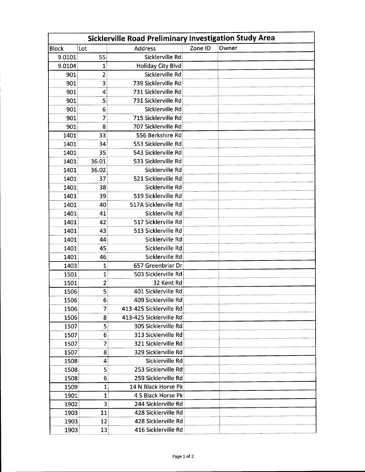| Sicklerville Road Preliminary Investigation Study Area |                         |                          |         |       |  |  |
|--------------------------------------------------------|-------------------------|--------------------------|---------|-------|--|--|
| <b>Block</b>                                           | Lot                     | <b>Address</b>           | Zone ID | Owner |  |  |
| 9.0101                                                 | 55                      | Sicklerville Rd          |         |       |  |  |
| 9.0104                                                 | 1                       | <b>Holiday City Blvd</b> |         |       |  |  |
| 901                                                    | 2                       | Sicklerville Rd          |         |       |  |  |
| 901                                                    | 3                       | 739 Sicklerville Rd      |         |       |  |  |
| 901                                                    | 4                       | 731 Sicklerville Rd      |         |       |  |  |
| 901                                                    | 5                       | 731 Sicklerville Rd      |         |       |  |  |
| 901                                                    | 6                       | Sicklerville Rd          |         |       |  |  |
| 901                                                    | 7                       | 715 Sicklerville Rd      |         |       |  |  |
| 901                                                    | 8                       | 707 Sicklerville Rd      |         |       |  |  |
| 1401                                                   | 33                      | 556 Berkshire Rd         |         |       |  |  |
| 1401                                                   | 34                      | 553 Sicklerville Rd      |         |       |  |  |
| 1401                                                   | 35                      | 543 Sicklerville Rd      |         |       |  |  |
| 1401                                                   | 36.01                   | 533 Sicklerville Rd      |         |       |  |  |
| 1401                                                   | 36.02                   | Sicklerville Rd          |         |       |  |  |
| 1401                                                   | 37                      | 521 Sicklerville Rd      |         |       |  |  |
| 1401                                                   | 38                      | Sicklerville Rd          |         |       |  |  |
| 1401                                                   | 39                      | 519 Sicklerville Rd      |         |       |  |  |
| 1401                                                   | 40                      | 517A Sicklerville Rd     |         |       |  |  |
| 1401                                                   | 41                      | Sicklerville Rd          |         |       |  |  |
| 1401                                                   | 42                      | 517 Sicklerville Rd      |         |       |  |  |
| 1401                                                   | 43                      | 513 Sicklerville Rd      |         |       |  |  |
| 1401                                                   | 44                      | Sicklerville Rd          |         |       |  |  |
| 1401                                                   | 45                      | Sicklerville Rd          |         |       |  |  |
| 1401                                                   | 46                      | Sicklerville Rd          |         |       |  |  |
| 1403                                                   | 1                       | 657 Greenbriar Dr        |         |       |  |  |
| 1501                                                   | 1                       | 503 Sicklerville Rd      |         |       |  |  |
| 1501                                                   | $\overline{\mathbf{c}}$ | 32 Kent Rd               |         |       |  |  |
| 1506                                                   | 5                       | 401 Sicklerville Rd      |         |       |  |  |
| 1506                                                   | 6                       | 409 Sicklerville Rd      |         |       |  |  |
| 1506                                                   | 7                       | 413-425 Sicklerville Rd  |         |       |  |  |
| 1506                                                   | 8                       | 413-425 Sicklerville Rd  |         |       |  |  |
| 1507                                                   | 5                       | 305 Sicklerville Rd      |         |       |  |  |
| 1507                                                   | 6                       | 313 Sicklerville Rd      |         |       |  |  |
| 1507                                                   | 7                       | 321 Sicklerville Rd      |         |       |  |  |
| 1507                                                   | 8                       | 329 Sicklerville Rd      |         |       |  |  |
| 1508                                                   | 4                       | Sicklerville Rd          |         |       |  |  |
| 1508                                                   | 5                       | 253 Sicklerville Rd      |         |       |  |  |
| 1508                                                   | 6                       | 259 Sicklerville Rd      |         |       |  |  |
| 1509                                                   | 1                       | 14 N Black Horse Pk      |         |       |  |  |
| 1901                                                   | 1                       | 4 S Black Horse Pk       |         |       |  |  |
| 1902                                                   | $\overline{\mathbf{3}}$ | 244 Sicklerville Rd      |         |       |  |  |
| 1903                                                   | 11                      | 428 Sicklerville Rd      |         |       |  |  |
| 1903                                                   | 12                      | 428 Sicklerville Rd      |         |       |  |  |
| 1903                                                   | 13                      | 416 Sicklerville Rd      |         |       |  |  |

 $\bar{z}$